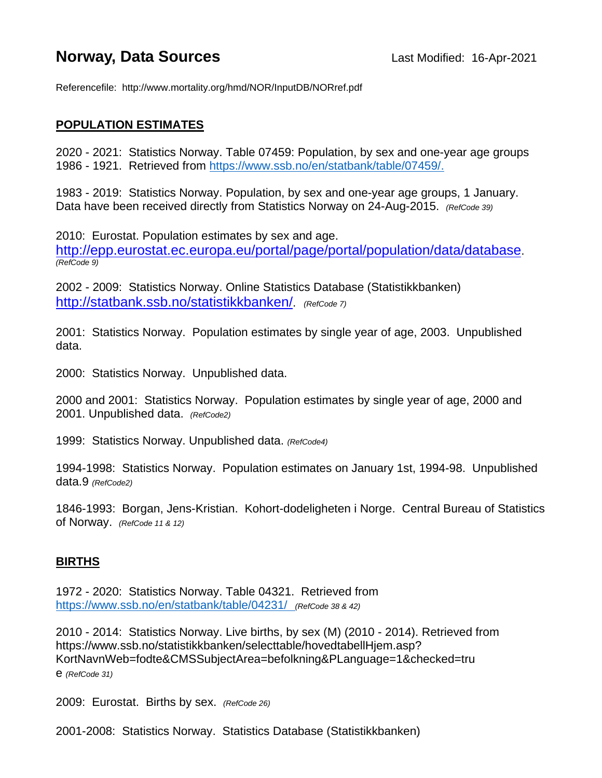## **Norway, Data Sources Last Modified: 16-Apr-2021**

Referencefile: http://www.mortality.org/hmd/NOR/InputDB/NORref.pdf

## **POPULATION ESTIMATES**

2020 - 2021: Statistics Norway. Table 07459: Population, by sex and one-year age groups 1986 - 1921. Retrieved from [https://www.ssb.no/en/statbank/table/07459/.](https://www.ssb.no/en/statbank/table/07459/)

1983 - 2019: Statistics Norway. Population, by sex and one-year age groups, 1 January. Data have been received directly from Statistics Norway on 24-Aug-2015. *(RefCode 39)*

2010: Eurostat. Population estimates by sex and age. [http://epp.eurostat.ec.europa.eu/portal/page/portal/population/data/database.](http://epp.eurostat.ec.europa.eu/portal/page/portal/population/data/database) *(RefCode 9)*

2002 - 2009: Statistics Norway. Online Statistics Database (Statistikkbanken) [http://statbank.ssb.no/statistikkbanken/.](http://statbank.ssb.no/statistikkbanken/) *(RefCode 7)*

2001: Statistics Norway. Population estimates by single year of age, 2003. Unpublished data.

2000: Statistics Norway. Unpublished data.

2000 and 2001: Statistics Norway. Population estimates by single year of age, 2000 and 2001. Unpublished data. *(RefCode2)*

1999: Statistics Norway. Unpublished data. *(RefCode4)*

1994-1998: Statistics Norway. Population estimates on January 1st, 1994-98. Unpublished data.9 *(RefCode2)*

1846-1993: Borgan, Jens-Kristian. Kohort-dodeligheten i Norge. Central Bureau of Statistics of Norway. *(RefCode 11 & 12)*

## **BIRTHS**

1972 - 2020: Statistics Norway. Table 04321. Retrieved from <https://www.ssb.no/en/statbank/table/04231/>*(RefCode 38 & 42)*

2010 - 2014: Statistics Norway. Live births, by sex (M) (2010 - 2014). Retrieved from https://www.ssb.no/statistikkbanken/selecttable/hovedtabellHjem.asp? KortNavnWeb=fodte&CMSSubjectArea=befolkning&PLanguage=1&checked=tru e *(RefCode 31)*

2009: Eurostat. Births by sex. *(RefCode 26)*

2001-2008: Statistics Norway. Statistics Database (Statistikkbanken)